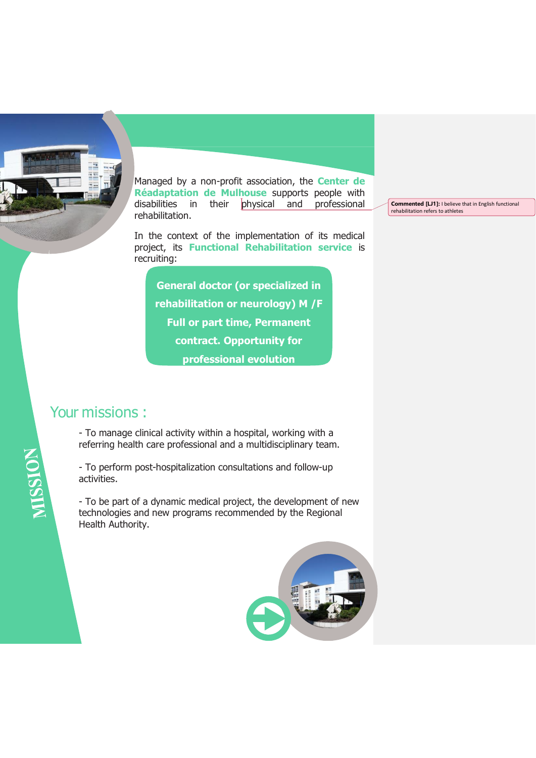

Managed by a non-profit association, the **Center de Réadaptation de Mulhouse** supports people with disabilities in their physical and professional rehabilitation.

In the context of the implementation of its medical project, its **Functional Rehabilitation service** is recruiting:

**General doctor (or specialized in rehabilitation or neurology) M /F Full or part time, Permanent contract. Opportunity for professional evolution**

# Your missions :

MISSION

- To manage clinical activity within a hospital, working with a referring health care professional and a multidisciplinary team.

- To perform post-hospitalization consultations and follow-up activities.

- To be part of a dynamic medical project, the development of new technologies and new programs recommended by the Regional Health Authority.



**Commented [LJ1]:** I believe that in English functional rehabilitation refers to athletes